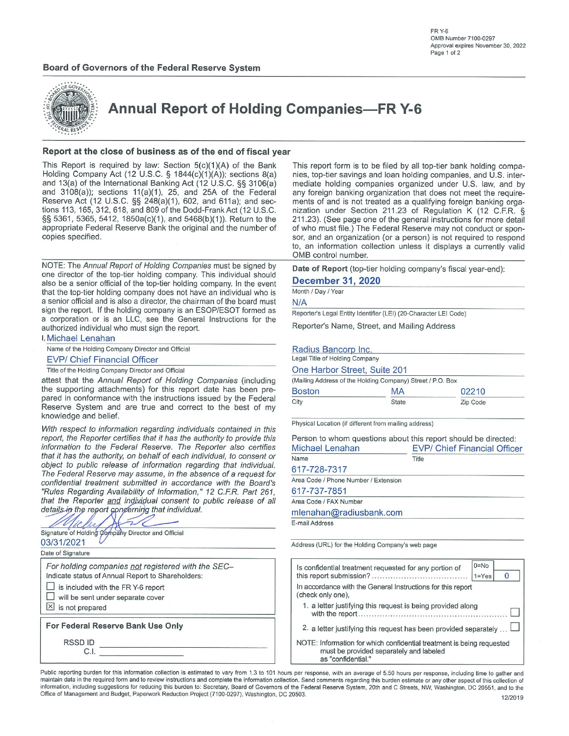## **Board of Governors of the Federal Reserve System**





**Annual Report of Holding Companies-FR Y-6** 

### Report at the close of business as of the end of fiscal year

This Report is required by law: Section 5(c)(1)(A) of the Bank Holding Company Act (12 U.S.C. § 1844(c)(1)(A)); sections 8(a) and 13(a) of the International Banking Act (12 U.S.C. §§ 3106(a) and  $3108(a)$ ; sections  $11(a)(1)$ ,  $25$ , and  $25A$  of the Federal Reserve Act (12 U.S.C. §§ 248(a)(1), 602, and 611a); and sections 113, 165, 312, 618, and 809 of the Dodd-Frank Act (12 U.S.C. §§ 5361, 5365, 5412, 1850a(c)(1), and 5468(b)(1)). Return to the appropriate Federal Reserve Bank the original and the number of copies specified.

NOTE: The Annual Report of Holding Companies must be signed by one director of the top-tier holding company. This individual should also be a senior official of the top-tier holding company. In the event that the top-tier holding company does not have an individual who is a senior official and is also a director, the chairman of the board must sign the report. If the holding company is an ESOP/ESOT formed as a corporation or is an LLC, see the General Instructions for the authorized individual who must sign the report.

I, Michael Lenahan

Name of the Holding Company Director and Official

## **EVP/ Chief Financial Officer**

Title of the Holding Company Director and Official

attest that the Annual Report of Holding Companies (including the supporting attachments) for this report date has been prepared in conformance with the instructions issued by the Federal Reserve System and are true and correct to the best of my knowledge and belief.

With respect to information regarding individuals contained in this report, the Reporter certifies that it has the authority to provide this information to the Federal Reserve. The Reporter also certifies that it has the authority, on behalf of each individual, to consent or object to public release of information regarding that individual. The Federal Reserve may assume, in the absence of a request for confidential treatment submitted in accordance with the Board's "Rules Regarding Availability of Information," 12 C.F.R. Part 261, that the Reporter and individual consent to public release of all details in the report concerning that individual.



C.I.

This report form is to be filed by all top-tier bank holding companies, top-tier savings and loan holding companies, and U.S. intermediate holding companies organized under U.S. law, and by any foreign banking organization that does not meet the requirements of and is not treated as a qualifying foreign banking organization under Section 211.23 of Regulation K (12 C.F.R. § 211.23). (See page one of the general instructions for more detail of who must file.) The Federal Reserve may not conduct or sponsor, and an organization (or a person) is not required to respond to, an information collection unless it displays a currently valid OMB control number.

Date of Report (top-tier holding company's fiscal year-end):

## **December 31, 2020**

Month / Day / Year

 $N/A$ 

Reporter's Legal Entity Identifier (LEI) (20-Character LEI Code)

Reporter's Name, Street, and Mailing Address

### Radius Bancorp Inc.

Legal Title of Holding Company

One Harbor Street, Suite 201

|               | (Mailing Address of the Holding Company) Street / P.O. Box |          |  |  |
|---------------|------------------------------------------------------------|----------|--|--|
| <b>Boston</b> | <b>MA</b>                                                  | 02210    |  |  |
| City          | <b>State</b>                                               | Zip Code |  |  |

Physical Location (if different from mailing address)

Person to whom questions about this report should be directed: Michael Lenahan **EVP/ Chief Financial Officer** 

| Name                                 | Title |  |  |  |  |  |
|--------------------------------------|-------|--|--|--|--|--|
| 617-728-7317                         |       |  |  |  |  |  |
| Area Code / Phone Number / Extension |       |  |  |  |  |  |
| 617-737-7851                         |       |  |  |  |  |  |
| Area Code / FAX Number               |       |  |  |  |  |  |
| mlenahan@radiusbank.com              |       |  |  |  |  |  |
| E-mail Address                       |       |  |  |  |  |  |

Address (URL) for the Holding Company's web page

|                                                                                  | Is confidential treatment requested for any portion of                                                                                | $0 = No$<br>$1 = Yes$ |  |  |  |  |  |  |
|----------------------------------------------------------------------------------|---------------------------------------------------------------------------------------------------------------------------------------|-----------------------|--|--|--|--|--|--|
| In accordance with the General Instructions for this report<br>(check only one). |                                                                                                                                       |                       |  |  |  |  |  |  |
|                                                                                  | 1. a letter justifying this request is being provided along                                                                           |                       |  |  |  |  |  |  |
|                                                                                  | 2. a letter justifying this request has been provided separately                                                                      |                       |  |  |  |  |  |  |
|                                                                                  | NOTE: Information for which confidential treatment is being requested<br>must be provided separately and labeled<br>as "confidential" |                       |  |  |  |  |  |  |

Public reporting burden for this information collection is estimated to vary from 1.3 to 101 hours per response, with an average of 5.50 hours per response, including time to gather and maintain data in the required form and to review instructions and complete the information collection. Send comments regarding this burden estimate or any other aspect of this collection of information, including suggestions for reducing this burden to: Secretary, Board of Governors of the Federal Reserve System, 20th and C Streets, NW, Washington, DC 20551, and to the Office of Management and Budget, Paperwork Reduction Project (7100-0297), Washington, DC 20503.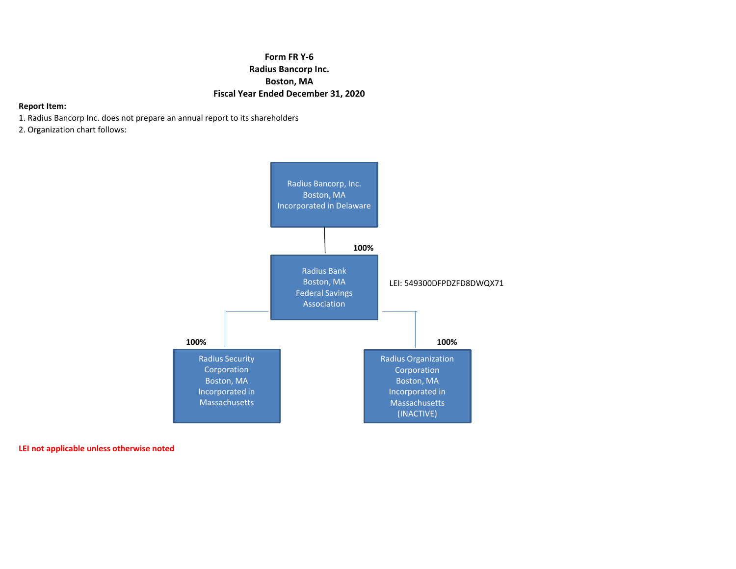# **Form FR Y‐6 Radius Bancorp Inc. Boston, MA Fiscal Year Ended December 31, 2020**

## **Report Item:**

- 1. Radius Bancorp Inc. does not prepare an annual report to its shareholders
- 2. Organization chart follows:



**LEI not applicable unless otherwise noted**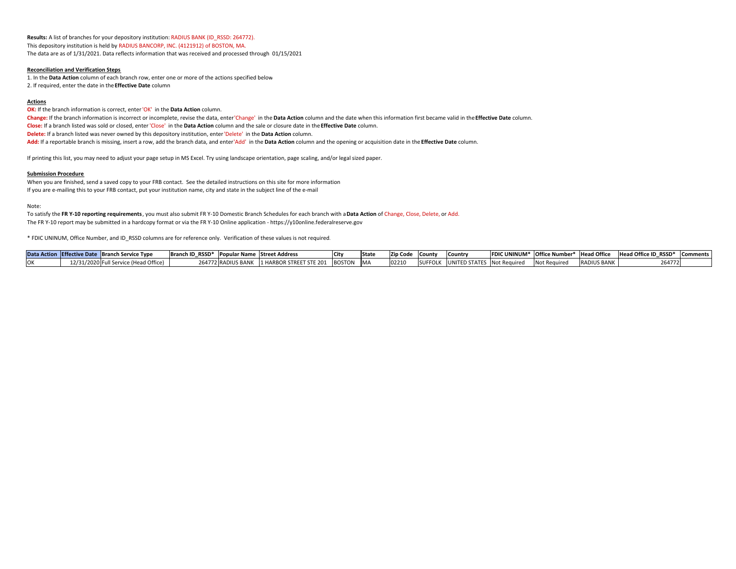**Results:** A list of branches for your depository institution: RADIUS BANK (ID\_RSSD: 264772). This depository institution is held by RADIUS BANCORP, INC. (4121912) of BOSTON, MA. The data are as of 1/31/2021. Data reflects information that was received and processed through 01/15/2021

#### **Reconciliation and Verification Steps**

1. In the **Data Action** column of each branch row, enter one or more of the actions specified below 2. If required, enter the date in the**Effective Date** column

### **Actions**

**OK:** If the branch information is correct, enter'OK' in the **Data Action** column.

Change: If the branch information is incorrect or incomplete, revise the data, enter'Change' in the Data Action column and the date when this information first became valid in the Effective Date column. **Close:** If a branch listed was sold or closed, enter'Close' in the **Data Action** column and the sale or closure date in the **Effective Date** column.

**Delete:** If a branch listed was never owned by this depository institution, enter'Delete' in the **Data Action** column.

**Add:** If a reportable branch is missing, insert <sup>a</sup> row, add the branch data, and enter'Add' in the **Data Action** column and the opening or acquisition date in the **Effective Date** column.

If printing this list, you may need to adjust your page setup in MS Excel. Try using landscape orientation, page scaling, and/or legal sized paper.

### **Submission Procedure**

When you are finished, send <sup>a</sup> saved copy to your FRB contact. See the detailed instructions on this site for more information If you are <sup>e</sup>‐mailing this to your FRB contact, put your institution name, city and state in the subject line of the <sup>e</sup>‐mail

#### Note:

To satisfy the F**R Y-10 reporting requirements** , you must also submit FR Y-10 Domestic Branch Schedules for each branch with a **Data Action** of Change, Close, Delete, or Add. The FR Y‐10 report may be submitted in <sup>a</sup> hardcopy format or via the FR Y‐10 Online application ‐ https://y10online.federalreserve.gov

\* FDIC UNINUM, Office Number, and ID\_RSSD columns are for reference only. Verification of these values is not required.

|  | Data Action Effective Date Branch Service Type | Branch ID RSSD* |                    | Popular Name Street Address |               |            | <b>Zip Code</b> | <b>ICounty</b> | lCountr   |                     | FDIC UNINUM* Office Number* Head Office |                    | Head Office ID RSSD* Comments |  |
|--|------------------------------------------------|-----------------|--------------------|-----------------------------|---------------|------------|-----------------|----------------|-----------|---------------------|-----------------------------------------|--------------------|-------------------------------|--|
|  | 12/31/2020 Full Service (Head Office)          |                 | ∠64772 RADIUS BANK | . I 1 HARBOR STREET STE 201 | <b>BOSTON</b> | <b>IMA</b> | $10221$ $C$     |                | UNITED ST | STATES Not Required | Not Required                            | <b>RADIUS BANK</b> | 264772                        |  |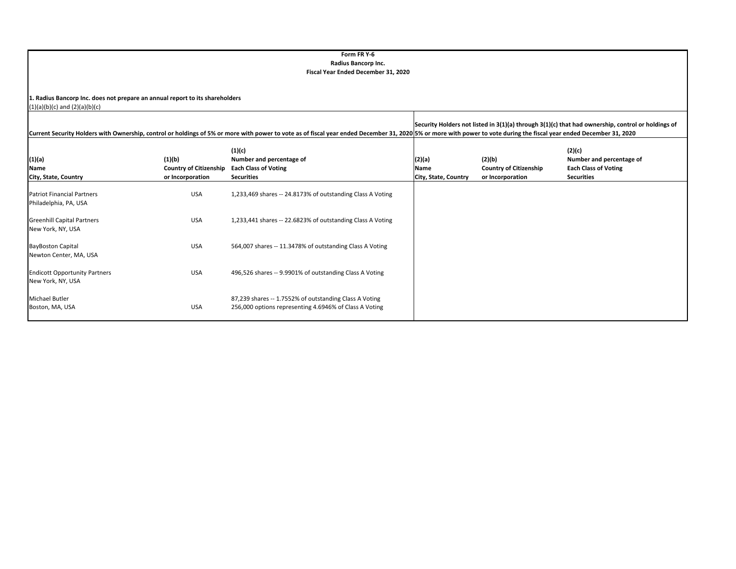### **Form FR Y‐6 Radius Bancorp Inc. Fiscal Year Ended December 31, 2020**

**1. Radius Bancorp Inc. does not prepare an annual report to its shareholders**

(1)(a)(b)(c) and (2)(a)(b)(c)

|                                                            |                                                             |                                                                                                                  | Security Holders not listed in 3(1)(a) through 3(1)(c) that had ownership, control or holdings of<br>Current Security Holders with Ownership, control or holdings of 5% or more with power to vote as of fiscal year ended December 31, 2020 5% or more with power to vote during the fiscal year ended December 31, 2020 |                                                             |                                                                                        |  |  |  |  |
|------------------------------------------------------------|-------------------------------------------------------------|------------------------------------------------------------------------------------------------------------------|---------------------------------------------------------------------------------------------------------------------------------------------------------------------------------------------------------------------------------------------------------------------------------------------------------------------------|-------------------------------------------------------------|----------------------------------------------------------------------------------------|--|--|--|--|
| (1)(a)<br>Name<br>City, State, Country                     | (1)(b)<br><b>Country of Citizenship</b><br>or Incorporation | (1)(c)<br>Number and percentage of<br><b>Each Class of Voting</b><br><b>Securities</b>                           | (2)(a)<br>Name<br>City, State, Country                                                                                                                                                                                                                                                                                    | (2)(b)<br><b>Country of Citizenship</b><br>or Incorporation | (2)(c)<br>Number and percentage of<br><b>Each Class of Voting</b><br><b>Securities</b> |  |  |  |  |
| <b>Patriot Financial Partners</b><br>Philadelphia, PA, USA | <b>USA</b>                                                  | 1,233,469 shares -- 24.8173% of outstanding Class A Voting                                                       |                                                                                                                                                                                                                                                                                                                           |                                                             |                                                                                        |  |  |  |  |
| <b>Greenhill Capital Partners</b><br>New York, NY, USA     | <b>USA</b>                                                  | 1,233,441 shares -- 22.6823% of outstanding Class A Voting                                                       |                                                                                                                                                                                                                                                                                                                           |                                                             |                                                                                        |  |  |  |  |
| <b>BayBoston Capital</b><br>Newton Center, MA, USA         | <b>USA</b>                                                  | 564,007 shares -- 11.3478% of outstanding Class A Voting                                                         |                                                                                                                                                                                                                                                                                                                           |                                                             |                                                                                        |  |  |  |  |
| <b>Endicott Opportunity Partners</b><br>New York, NY, USA  | <b>USA</b>                                                  | 496,526 shares -- 9.9901% of outstanding Class A Voting                                                          |                                                                                                                                                                                                                                                                                                                           |                                                             |                                                                                        |  |  |  |  |
| <b>Michael Butler</b><br>Boston, MA, USA                   | <b>USA</b>                                                  | 87,239 shares -- 1.7552% of outstanding Class A Voting<br>256,000 options representing 4.6946% of Class A Voting |                                                                                                                                                                                                                                                                                                                           |                                                             |                                                                                        |  |  |  |  |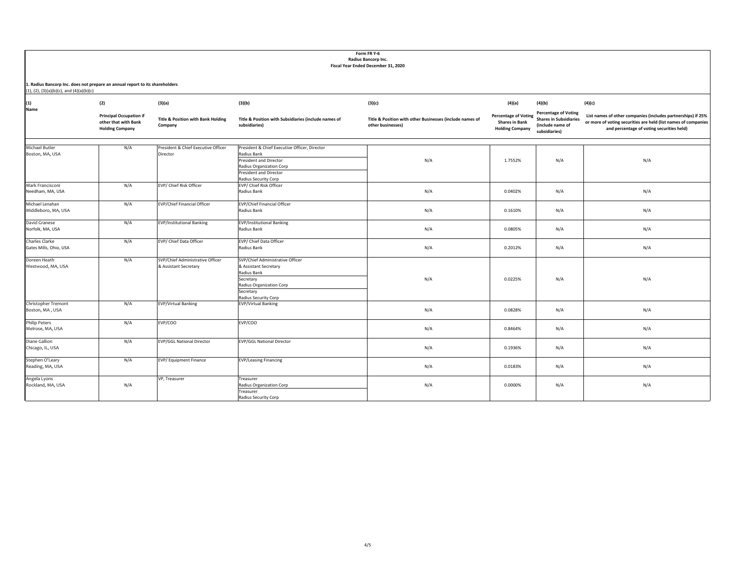|                                                                                                                                     | Form FR Y-6<br>Radius Bancorp Inc.<br>Fiscal Year Ended December 31, 2020        |                                                           |                                                                                                                                                        |                                                                               |                                                                                |                                                                                                   |                                                                                                                                                                             |  |  |  |
|-------------------------------------------------------------------------------------------------------------------------------------|----------------------------------------------------------------------------------|-----------------------------------------------------------|--------------------------------------------------------------------------------------------------------------------------------------------------------|-------------------------------------------------------------------------------|--------------------------------------------------------------------------------|---------------------------------------------------------------------------------------------------|-----------------------------------------------------------------------------------------------------------------------------------------------------------------------------|--|--|--|
| 1. Radius Bancorp Inc. does not prepare an annual report to its shareholders<br>$(1)$ , $(2)$ , $(3)(a)(b)(c)$ , and $(4)(a)(b)(c)$ |                                                                                  |                                                           |                                                                                                                                                        |                                                                               |                                                                                |                                                                                                   |                                                                                                                                                                             |  |  |  |
| (1)                                                                                                                                 | (2)                                                                              | (3)(a)                                                    | (3)(b)                                                                                                                                                 | (3)(c)                                                                        | (4)(a)                                                                         | (4)(b)                                                                                            | (4)(c)                                                                                                                                                                      |  |  |  |
| Name                                                                                                                                | <b>Principal Occupation if</b><br>other that with Bank<br><b>Holding Company</b> | <b>Title &amp; Position with Bank Holding</b><br>Company  | Title & Position with Subsidiaries (include names of<br>subsidiaries)                                                                                  | Title & Position with other Businesses (include names of<br>other businesses) | <b>Percentage of Voting</b><br><b>Shares in Bank</b><br><b>Holding Company</b> | <b>Percentage of Voting</b><br><b>Shares in Subsidiaries</b><br>(include name of<br>subsidiaries) | List names of other companies (includes partnerships) if 25%<br>or more of voting securities are held (list names of companies<br>and percentage of voting securities held) |  |  |  |
| Michael Butler<br>Boston, MA, USA                                                                                                   | N/A                                                                              | President & Chief Executive Officer<br>Director           | President & Chief Executive Officer, Director<br>Radius Bank<br>President and Director<br>Radius Organization Corp<br><b>President and Director</b>    | N/A                                                                           | 1.7552%                                                                        | N/A                                                                                               | N/A                                                                                                                                                                         |  |  |  |
| Mark Francisconi<br>Needham, MA, USA                                                                                                | N/A                                                                              | EVP/ Chief Risk Officer                                   | Radius Security Corp<br>EVP/ Chief Risk Officer<br>Radius Bank                                                                                         | N/A                                                                           | 0.0402%                                                                        | N/A                                                                                               | N/A                                                                                                                                                                         |  |  |  |
| Michael Lenahan<br>Middleboro, MA, USA                                                                                              | N/A                                                                              | EVP/Chief Financial Officer                               | <b>EVP/Chief Financial Officer</b><br>Radius Bank                                                                                                      | N/A                                                                           | 0.1610%                                                                        | N/A                                                                                               | N/A                                                                                                                                                                         |  |  |  |
| David Granese<br>Norfolk, MA, USA                                                                                                   | N/A                                                                              | <b>EVP/Institutional Banking</b>                          | <b>EVP/Institutional Banking</b><br>Radius Bank                                                                                                        | N/A                                                                           | 0.0805%                                                                        | N/A                                                                                               | N/A                                                                                                                                                                         |  |  |  |
| Charles Clarke<br>Gates Mills, Ohio, USA                                                                                            | N/A                                                                              | EVP/ Chief Data Officer                                   | EVP/ Chief Data Officer<br>Radius Bank                                                                                                                 | N/A                                                                           | 0.2012%                                                                        | N/A                                                                                               | N/A                                                                                                                                                                         |  |  |  |
| Doreen Heath<br>Westwood, MA, USA                                                                                                   | N/A                                                                              | SVP/Chief Administrative Officer<br>& Assistant Secretary | SVP/Chief Administrative Officer<br>& Assistant Secretary<br>Radius Bank<br>Secretary<br>Radius Organization Corp<br>Secretary<br>Radius Security Corp | N/A                                                                           | 0.0225%                                                                        | N/A                                                                                               | N/A                                                                                                                                                                         |  |  |  |
| Christopher Tremont<br>Boston, MA, USA                                                                                              | N/A                                                                              | <b>EVP/Virtual Banking</b>                                | <b>EVP/Virtual Banking</b>                                                                                                                             | N/A                                                                           | 0.0828%                                                                        | N/A                                                                                               | N/A                                                                                                                                                                         |  |  |  |
| Philip Peters<br>Melrose, MA, USA                                                                                                   | N/A                                                                              | EVP/COO                                                   | EVP/COO                                                                                                                                                | N/A                                                                           | 0.8464%                                                                        | N/A                                                                                               | N/A                                                                                                                                                                         |  |  |  |
| Diane Gallion<br>Chicago, IL, USA                                                                                                   | N/A                                                                              | <b>EVP/GGL National Director</b>                          | <b>EVP/GGL National Director</b>                                                                                                                       | N/A                                                                           | 0.1936%                                                                        | N/A                                                                                               | N/A                                                                                                                                                                         |  |  |  |
| Stephen O'Leary<br>Reading, MA, USA                                                                                                 | N/A                                                                              | EVP/Equipment Finance                                     | <b>EVP/Leasing Financing</b>                                                                                                                           | N/A                                                                           | 0.0183%                                                                        | N/A                                                                                               | N/A                                                                                                                                                                         |  |  |  |
| Angela Lyons<br>Rockland, MA, USA                                                                                                   | N/A                                                                              | VP, Treasurer                                             | Treasurer<br>Radius Organization Corp<br>Treasurer<br>Radius Security Corp                                                                             | N/A                                                                           | 0.0000%                                                                        | N/A                                                                                               | N/A                                                                                                                                                                         |  |  |  |